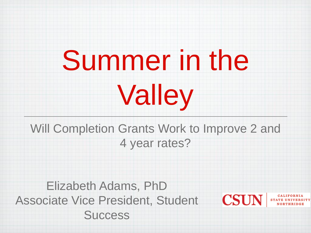## Summer in the

# Valley

Will Completion Grants Work to Improve 2 and 4 year rates?

CSUI

Elizabeth Adams, PhD Associate Vice President, Student **Success**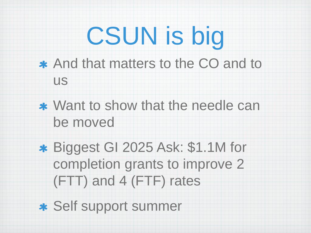## CSUN is big

- And that matters to the CO and to us
- \* Want to show that the needle can be moved
- Biggest GI 2025 Ask: \$1.1M for completion grants to improve 2 (FTT) and 4 (FTF) rates

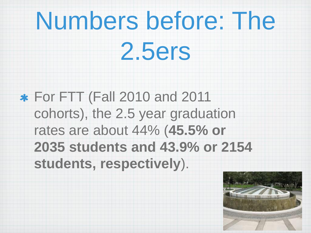## Numbers before: The

2.5ers

For FTT (Fall 2010 and 2011 cohorts), the 2.5 year graduation rates are about 44% (**45.5% or 2035 students and 43.9% or 2154 students, respectively**).

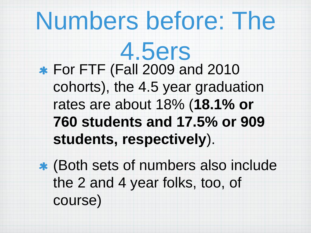#### Numbers before: The

4.5ers For FTF (Fall 2009 and 2010 cohorts), the 4.5 year graduation rates are about 18% (**18.1% or 760 students and 17.5% or 909 students, respectively**).

(Both sets of numbers also include the 2 and 4 year folks, too, of course)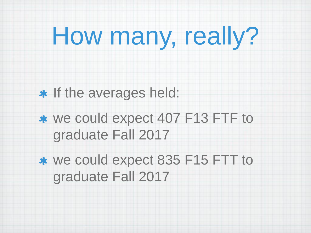## How many, really?

#### \* If the averages held:

- \* we could expect 407 F13 FTF to graduate Fall 2017
- we could expect 835 F15 FTT to graduate Fall 2017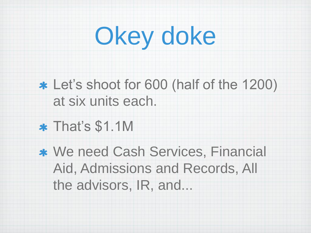## Okey doke

- Let's shoot for 600 (half of the 1200) at six units each.
- That's \$1.1M
- \* We need Cash Services, Financial Aid, Admissions and Records, All the advisors, IR, and...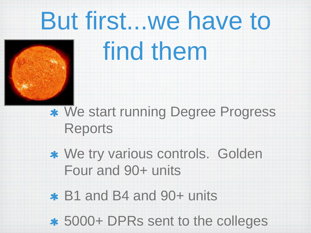### But first...we have to



#### find them

We start running Degree Progress Reports

We try various controls. Golden Four and 90+ units

B1 and B4 and 90+ units

5000+ DPRs sent to the colleges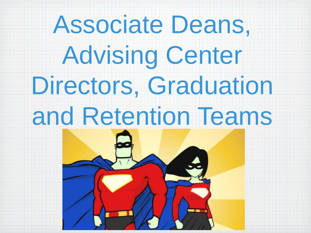#### Associate Deans,

Advising Center Directors, Graduation and Retention Teams

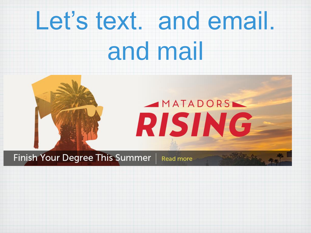## Let's text. and email.

#### and mail



**Finish Your Degree This Summer** 

Read more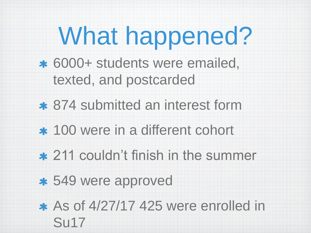## What happened?

- 6000+ students were emailed, texted, and postcarded
- 874 submitted an interest form
- 100 were in a different cohort
- 211 couldn't finish in the summer
- 549 were approved

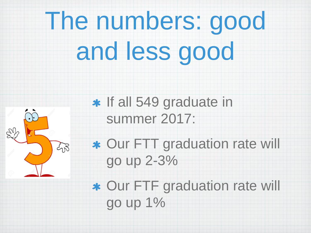## The numbers: good and less good



\* If all 549 graduate in summer 2017:

Our FTT graduation rate will go up 2-3%

Our FTF graduation rate will go up 1%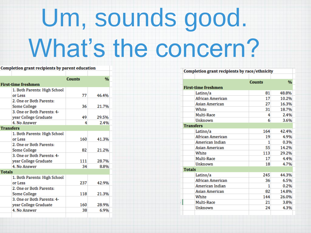## Um, sounds good. What's the concern?

#### Completion grant recipients by parent education

|               |                              | <b>Counts</b> | %     |
|---------------|------------------------------|---------------|-------|
|               | First-time freshmen          |               |       |
|               | 1. Both Parents: High School |               |       |
|               | or Less                      | 77            | 46.4% |
|               | 2. One or Both Parents:      |               |       |
|               | Some College                 | 36            | 21.7% |
|               | 3. One or Both Parents: 4-   |               |       |
|               | year College Graduate        | 49            | 29.5% |
|               | 4. No Answer                 | 4             | 2.4%  |
|               | <b>Transfers</b>             |               |       |
|               | 1. Both Parents: High School |               |       |
|               | or Less                      | 160           | 41.3% |
|               | 2. One or Both Parents:      |               |       |
|               | Some College                 | 82            | 21.2% |
|               | 3. One or Both Parents: 4-   |               |       |
|               | year College Graduate        | 111           | 28.7% |
|               | 4. No Answer                 | 34            | 8.8%  |
| <b>Totals</b> |                              |               |       |
|               | 1. Both Parents: High School |               |       |
|               | or Less                      | 237           | 42.9% |
|               | 2. One or Both Parents:      |               |       |
|               | Some College                 | 118           | 21.3% |
|               | 3. One or Both Parents: 4-   |               |       |
|               | year College Graduate        | 160           | 28.9% |
|               | 4. No Answer                 | 38            | 6.9%  |
|               |                              |               |       |

| Completion grant recipients by race/ethnicity |                            |               |       |  |  |
|-----------------------------------------------|----------------------------|---------------|-------|--|--|
|                                               |                            |               |       |  |  |
|                                               |                            | <b>Counts</b> | %     |  |  |
|                                               | <b>First-time freshmen</b> |               |       |  |  |
|                                               | Latino/a                   | 81            | 48.8% |  |  |
|                                               | African American           | 17            | 10.2% |  |  |
|                                               | <b>Asian American</b>      | 27            | 16.3% |  |  |
|                                               | White                      | 31            | 18.7% |  |  |
|                                               | Multi-Race                 | 4             | 2.4%  |  |  |
|                                               | Unknown                    | 6             | 3.6%  |  |  |
|                                               | <b>Transfers</b>           |               |       |  |  |
|                                               | Latino/a                   | 164           | 42.4% |  |  |
|                                               | <b>African American</b>    | 19            | 4.9%  |  |  |
|                                               | American Indian            | 1             | 0.3%  |  |  |
|                                               | <b>Asian American</b>      | 55            | 14.2% |  |  |
|                                               | White                      | 113           | 29.2% |  |  |
|                                               | Multi-Race                 | 17            | 4.4%  |  |  |
|                                               | Unknown                    | 18            | 4.7%  |  |  |
| <b>Totals</b>                                 |                            |               |       |  |  |
|                                               | Latino/a                   | 245           | 44.3% |  |  |
|                                               | African American           | 36            | 6.5%  |  |  |
|                                               | American Indian            | 1             | 0.2%  |  |  |
|                                               | <b>Asian American</b>      | 82            | 14.8% |  |  |
|                                               | White                      | 144           | 26.0% |  |  |
|                                               | Multi-Race                 | 21            | 3.8%  |  |  |
|                                               | Unknown                    | 24            | 4.3%  |  |  |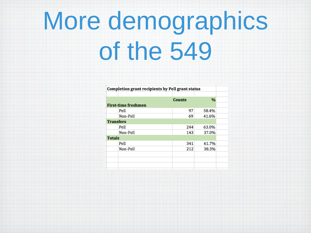## More demographics of the 549

Completion grant recipients by Pell grant status

|                  |                            | <b>Counts</b> | $\frac{9}{6}$ |  |
|------------------|----------------------------|---------------|---------------|--|
|                  | <b>First-time freshmen</b> |               |               |  |
|                  | Pell                       | 97            | 58.4%         |  |
|                  | Non-Pell                   | 69            | 41.6%         |  |
| <b>Transfers</b> |                            |               |               |  |
|                  | Pell                       | 244           | 63.0%         |  |
|                  | Non-Pell                   | 143           | 37.0%         |  |
| <b>Totals</b>    |                            |               |               |  |
|                  | Pell                       | 341           | 61.7%         |  |
|                  | Non-Pell                   | 212           | 38.3%         |  |
|                  |                            |               |               |  |
|                  |                            |               |               |  |
|                  |                            |               |               |  |
|                  |                            |               |               |  |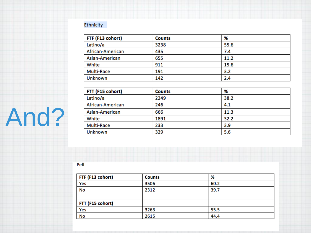#### Ethnicity

| FTF (F13 cohort)  | <b>Counts</b> | %    |
|-------------------|---------------|------|
| Latino/a          | 3238          | 55.6 |
| African-American  | 435           | 7.4  |
| Asian-American    | 655           | 11.2 |
| White             | 911           | 15.6 |
| <b>Multi-Race</b> | 191           | 3.2  |
| Unknown           | 142           | 2.4  |

| FTT (F15 cohort)  | <b>Counts</b> | %    |
|-------------------|---------------|------|
| Latino/a          | 2249          | 38.2 |
| African-American  | 246           | 4.1  |
| Asian-American    | 666           | 11.3 |
| White             | 1891          | 32.2 |
| <b>Multi-Race</b> | 233           | 3.9  |
| Unknown           | 329           | 5.6  |

Pell

And?

| FTF (F13 cohort) | <b>Counts</b> | %    |
|------------------|---------------|------|
| Yes              | 3506          | 60.2 |
| No               | 2312          | 39.7 |
|                  |               |      |
| FTT (F15 cohort) |               |      |
| Yes              | 3263          | 55.5 |
| No               | 2615          | 44.4 |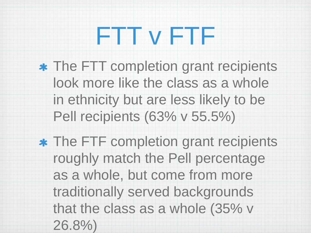#### FTT v FTF

- **\* The FTT completion grant recipients** look more like the class as a whole in ethnicity but are less likely to be Pell recipients (63% v 55.5%)
- The FTF completion grant recipients roughly match the Pell percentage as a whole, but come from more traditionally served backgrounds that the class as a whole (35% v 26.8%)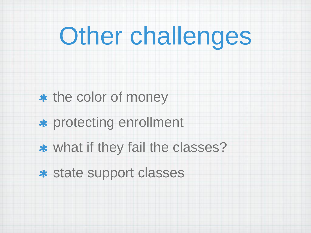### Other challenges

- \* the color of money
- protecting enrollment
- what if they fail the classes?
- state support classes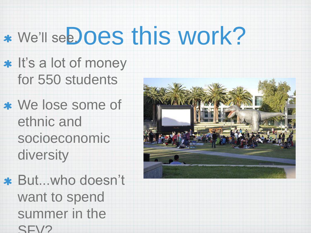## \* We'll see. Oes this work?

- \* It's a lot of money for 550 students
- We lose some of ethnic and socioeconomic diversity
- But...who doesn't want to spend summer in the SFV?

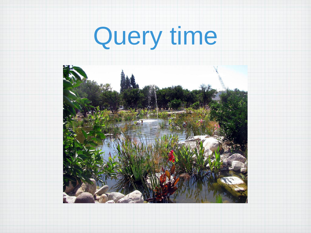# Query time